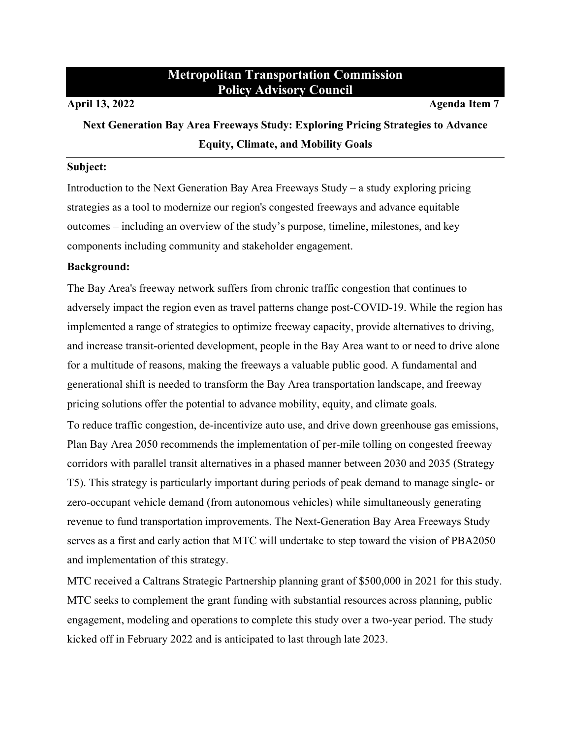# **Metropolitan Transportation Commission Policy Advisory Council**

**April 13, 2022 Agenda Item 7**

**Next Generation Bay Area Freeways Study: Exploring Pricing Strategies to Advance Equity, Climate, and Mobility Goals**

#### **Subject:**

Introduction to the Next Generation Bay Area Freeways Study – a study exploring pricing strategies as a tool to modernize our region's congested freeways and advance equitable outcomes – including an overview of the study's purpose, timeline, milestones, and key components including community and stakeholder engagement.

# **Background:**

The Bay Area's freeway network suffers from chronic traffic congestion that continues to adversely impact the region even as travel patterns change post-COVID-19. While the region has implemented a range of strategies to optimize freeway capacity, provide alternatives to driving, and increase transit-oriented development, people in the Bay Area want to or need to drive alone for a multitude of reasons, making the freeways a valuable public good. A fundamental and generational shift is needed to transform the Bay Area transportation landscape, and freeway pricing solutions offer the potential to advance mobility, equity, and climate goals.

To reduce traffic congestion, de-incentivize auto use, and drive down greenhouse gas emissions, Plan Bay Area 2050 recommends the implementation of per-mile tolling on congested freeway corridors with parallel transit alternatives in a phased manner between 2030 and 2035 (Strategy T5). This strategy is particularly important during periods of peak demand to manage single- or zero-occupant vehicle demand (from autonomous vehicles) while simultaneously generating revenue to fund transportation improvements. The Next-Generation Bay Area Freeways Study serves as a first and early action that MTC will undertake to step toward the vision of PBA2050 and implementation of this strategy.

MTC received a Caltrans Strategic Partnership planning grant of \$500,000 in 2021 for this study. MTC seeks to complement the grant funding with substantial resources across planning, public engagement, modeling and operations to complete this study over a two-year period. The study kicked off in February 2022 and is anticipated to last through late 2023.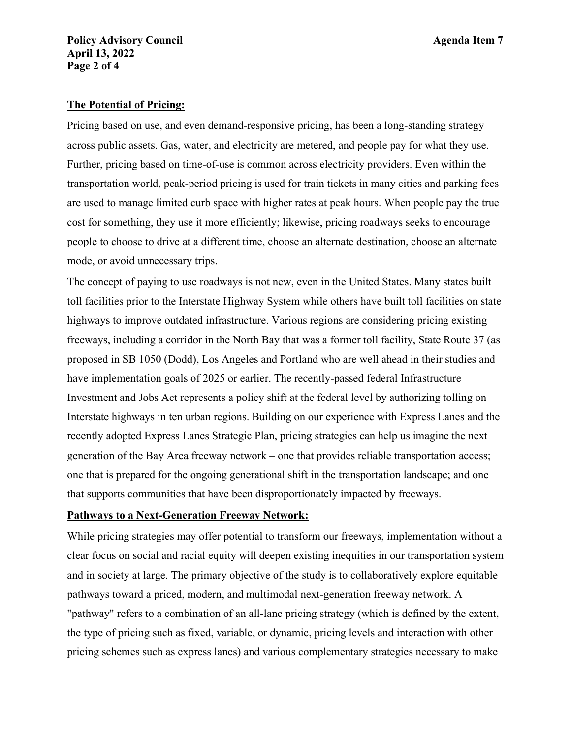# **Policy Advisory Council Agenda Item 7 April 13, 2022 Page 2 of 4**

# **The Potential of Pricing:**

Pricing based on use, and even demand-responsive pricing, has been a long-standing strategy across public assets. Gas, water, and electricity are metered, and people pay for what they use. Further, pricing based on time-of-use is common across electricity providers. Even within the transportation world, peak-period pricing is used for train tickets in many cities and parking fees are used to manage limited curb space with higher rates at peak hours. When people pay the true cost for something, they use it more efficiently; likewise, pricing roadways seeks to encourage people to choose to drive at a different time, choose an alternate destination, choose an alternate mode, or avoid unnecessary trips.

The concept of paying to use roadways is not new, even in the United States. Many states built toll facilities prior to the Interstate Highway System while others have built toll facilities on state highways to improve outdated infrastructure. Various regions are considering pricing existing freeways, including a corridor in the North Bay that was a former toll facility, State Route 37 (as proposed in SB 1050 (Dodd), Los Angeles and Portland who are well ahead in their studies and have implementation goals of 2025 or earlier. The recently-passed federal Infrastructure Investment and Jobs Act represents a policy shift at the federal level by authorizing tolling on Interstate highways in ten urban regions. Building on our experience with Express Lanes and the recently adopted Express Lanes Strategic Plan, pricing strategies can help us imagine the next generation of the Bay Area freeway network – one that provides reliable transportation access; one that is prepared for the ongoing generational shift in the transportation landscape; and one that supports communities that have been disproportionately impacted by freeways.

## **Pathways to a Next-Generation Freeway Network:**

While pricing strategies may offer potential to transform our freeways, implementation without a clear focus on social and racial equity will deepen existing inequities in our transportation system and in society at large. The primary objective of the study is to collaboratively explore equitable pathways toward a priced, modern, and multimodal next-generation freeway network. A "pathway" refers to a combination of an all-lane pricing strategy (which is defined by the extent, the type of pricing such as fixed, variable, or dynamic, pricing levels and interaction with other pricing schemes such as express lanes) and various complementary strategies necessary to make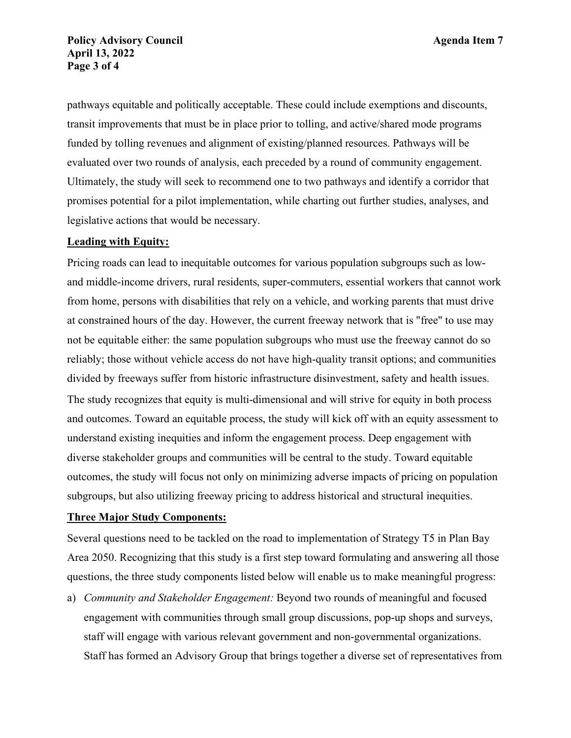pathways equitable and politically acceptable. These could include exemptions and discounts, transit improvements that must be in place prior to tolling, and active/shared mode programs funded by tolling revenues and alignment of existing/planned resources. Pathways will be evaluated over two rounds of analysis, each preceded by a round of community engagement. Ultimately, the study will seek to recommend one to two pathways and identify a corridor that promises potential for a pilot implementation, while charting out further studies, analyses, and legislative actions that would be necessary.

### **Leading with Equity:**

Pricing roads can lead to inequitable outcomes for various population subgroups such as lowand middle-income drivers, rural residents, super-commuters, essential workers that cannot work from home, persons with disabilities that rely on a vehicle, and working parents that must drive at constrained hours of the day. However, the current freeway network that is "free" to use may not be equitable either: the same population subgroups who must use the freeway cannot do so reliably; those without vehicle access do not have high-quality transit options; and communities divided by freeways suffer from historic infrastructure disinvestment, safety and health issues. The study recognizes that equity is multi-dimensional and will strive for equity in both process and outcomes. Toward an equitable process, the study will kick off with an equity assessment to understand existing inequities and inform the engagement process. Deep engagement with diverse stakeholder groups and communities will be central to the study. Toward equitable outcomes, the study will focus not only on minimizing adverse impacts of pricing on population subgroups, but also utilizing freeway pricing to address historical and structural inequities.

#### **Three Major Study Components:**

Several questions need to be tackled on the road to implementation of Strategy T5 in Plan Bay Area 2050. Recognizing that this study is a first step toward formulating and answering all those questions, the three study components listed below will enable us to make meaningful progress:

a) *Community and Stakeholder Engagement:* Beyond two rounds of meaningful and focused engagement with communities through small group discussions, pop-up shops and surveys, staff will engage with various relevant government and non-governmental organizations. Staff has formed an Advisory Group that brings together a diverse set of representatives from